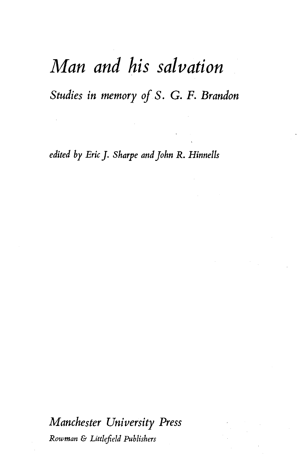# *Man and his salvation Studies in memory of S.* G. *F. Brandon*

*edited by Eric J. Sharpe and John R. Hinnells* 

*Manchester University Press Rowman* & *Littlefield Publishers*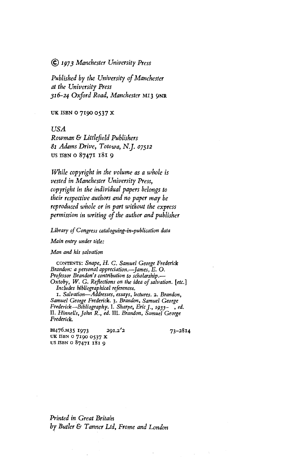## © 1973 *Manchester University Press*

*Published by the University of Manchester at the University Press*  316-24 *Oxford Road, Manchester* Ml3 9NR

#### UK ISBN 0 7190 0537 X

*USA* 

*Rowman* & *Littlefield Publishers 81 Adams Drive, Totowa, N.J. 07512*  US ISBN 0 87471 181 9

*While copyright in the volume as a whole is vested in Manchester University Press, copyright in the individual papers belongs to their respective authors and no paper may be reproduced whole or in part without the express permission in writing of the author and publisher* 

*Library of Congress cataloguing-in-publication data* 

*Main entry under title:* 

*Man and his salvation* 

CONTENTS: *Snape, H.* C. *Samuel George Frederick Brandon: a personal appreciation.-James, E.* 0. *Professor Brandon's contribution to scholarship.- Oxtoby, W.* G. *Reflections on the idea of salvation.* [etc.] *Includes bibliographical references.* 

I. *Salvation-Addresses, essays, lectures.* 2. *Brandon, Samuel George Frederick.* 3. *Brandon, Samuel George Frederick-Bibliography.* I. *Sharpe, Eric]., 1933-* , *ed.*  II. *Hinnells, John R., ed.* III. *Brandon, Samuel George Frederick.* 

BI476.M35 1973 *291.2<sup>1</sup>* UK ISBN O 7190 0537 X US ISBN O 87471 181 *9* 

*2* 73-2814

*Printed in Great Britain by Butler* & *Tanner Ltd, Frame and London*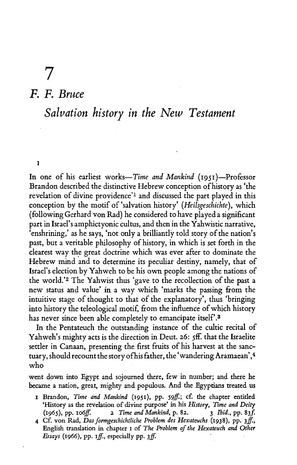## 7

## *F. F. Bruce*

## *Salvation history in the New Testament*

 $\mathbf{r}$ 

In one of his earliest works-Time and Mankind (1951)-Professor Brandon described the distinctive Hebrew conception of history as 'the revelation of divine providence'1 and discussed the part played **in** this conception by the motif of 'salvation history' *(Heilsgeschichte),* which (following Gerhard von Rad) he considered to have played a significant part in Israel's amphictyonic cultus, and then in the Yahwistic narrative, 'enshrining,' as he says, 'not only a brilliantly told story of the nation's **past,** but a veritable philosophy of history, in which is set forth in the clearest way the great doctrine which was ever after to dominate the Hebrew mind and to determine its peculiar destiny, namely, that of Israel's election by Yahweh to be his own people among the nations of the world.'2 The Yahwist thus 'gave to the recollection of the past a new status and value' in a way which 'marks the passing from the intuitive stage of thought to that of the explanatory', thus 'bringing into history the teleological motif, from the influence of which history has never since been able completely to emancipate itself'.<sup>3</sup>

In the Pentateuch the outstanding instance of the cultic recital of Yahweh's mighty acts is the direction in Deut. 26: 5ff. that the Israelite settler in Canaan, presenting the first fruits of his harvest at the sanctuary, should recount the story ofhis father, the 'wandering Aramaean', <sup>4</sup> **who** 

went down into Egypt and sojourned there, few in number; and there he became a nation, great, mighty and populous. And the Egyptians treated us

- I Brandon, *Time and Mankind* (1951), pp. *59.ff.;* cf. the chapter entitled 'History as the revelation of divine purpose' in his *History, Time and Deity*  (1965), pp. 106.ff. 2 *Time and Mankind,* p. 82. 3 *Ibid.,* pp. 83f.
- 4 Cf. von Rad, *Das formgeschichtliche Problem des Hexateuchs* (1938), pp. 3.ff., English translation in chapter I of *The Problem of the Hexateuch and Other Essays* (1966), pp. 1*ff.*, especially pp. 3*ff.*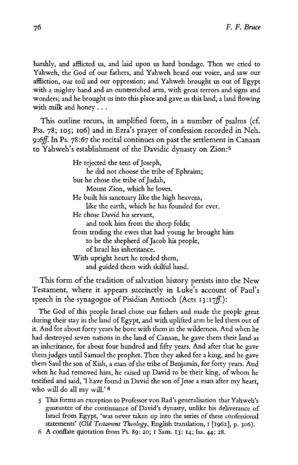harshly, and afflicted us, and laid upon us hard bondage. Then we cried to Yahweh, the God of our fathers, and Yahweh heard our voice, and saw our affliction, our toil and our oppression; and Yahweh brought us out of Egypt with a mighty hand and an outstretched arm, with great terrors and signs and wonders; and he brought us into this place and gave us this land, a land flowing with milk and honey ...

This outline recurs, in amplified form, in a number of psalms (cf. Pss. 78; 105; 106) and in Ezra's prayer of confession recorded in Neh. 9:6ff. In Ps. 78:67 the recital continues on past the settlement in Canaan to Yahweh's establishment of the Davidic dynasty on Zion:<sup>5</sup>

> He rejected the tent of Joseph, he did not choose the tribe of Ephraim; but he chose the tribe of Judah, Mount Zion, which he loves. He built his sanctuary like the high heavens, like the earth, which he has founded for ever. He chose David his servant, and took him from the sheep folds; from tending the ewes that had young he brought him to be the shepherd of Jacob his people, of Israel his inheritance. With upright heart he tended them, and guided them with skilful hand.

This form of the tradition of salvation history persists into the New Testament, where it appears succinctly in Luke's account of Paul's speech in the synagogue of Pisidian Antioch (Acts  $13:17\text{ff.}$ ):

The God of this people Israel chose our fathers and made the people great during their stay in the land of Egypt, and with uplifted arm he led them out of it. And for about forty years he bore with them in the wilderness. And when he had destroyed seven nations in the land of Canaan, he gave them their land as an inheritance, for about four hundred and fifty years. And after that he gave them judges until Samuel the prophet. Then they asked for a king, and he gave them Saul the son of Kish, a man of the tribe of Benjamin, for forty years. And when he had removed him, he raised up David to be their king, of whom he testified and said, 'I have found in David the son of Jesse a man after my heart, who will do all my will.' 6

- *5* This forms an exception to Professor von Rad' s generalisation that Yahweh' s guarantee of the continuance of David's dynasty, unlike his deliverance of Israel from Egypt, 'was never taken up into the series of these confessional statements' *(Old Testament Theology,* English translation, I [1962], p. 306).
- *6* A conflate quotation from Ps. 89: 20; l Sam. 13: 14; Isa. 44: 28.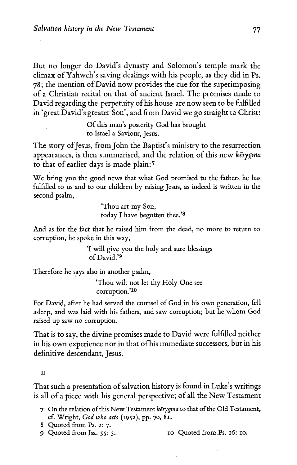But no longer do David's dynasty and Solomon's temple mark the climax of Yahweh's saving dealings with his people, as they did in Ps. 78; the mention of David now provides the cue for the superimposing of a Christian recital on that of ancient Israel. The promises made to David regarding the perpetuity of his house are now seen to be fulfilled in 'great David's greater Son', and from David we go straight to Christ:

> Of this man's posterity God has brought to Israel a Saviour, Jesus.

The story of Jesus, from John the Baptist's ministry to the resurrection appearances, is then summarised, and the relation of this new *kerygma*  to that of earlier days is made plain: 7.

We bring you the good news that what God promised to the fathers he has fulfilled to us and to our children by raising Jesus, as indeed is written in the second psalm,

> 'Thou art my Son, today I have begotten thee.'8

And as for the fact that he raised him from the dead, no more to return to corruption, he spoke in this way,

> 'I will give you the holy and sure blessings of David.'9

Therefore he says also in another psalm,

'Thou wilt not let thy Holy One see corruption.'10

For David, after he had served the counsel of God in his own generation, fell asleep, and was laid with his fathers, and saw corruption; but he whom God raised up saw no corruption.

That is to say, the divine promises made to David were fulfilled neither in his own experience nor in that of his immediate successors, but in his definitive descendant, Jesus.

II

That such a presentation of salvation history is found in Luke's writings is all of a piece with his general perspective; of all the New Testament

- 7 On the relation of this New Testament *kerygma* to that of the Old Testament, cf. Wright, *God who acts* (1952), pp. 70, 81.
- 8 Quoted from Ps. 2: 7.
- 

*9* Quoted from Isa. 55: 3. 10 Quoted from Ps. 16: 10.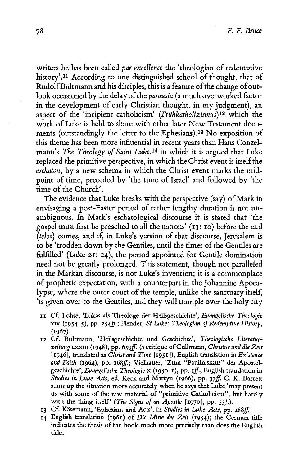writers he has been called *par excellence* the 'theologian of redemptive history'.<sup>11</sup> According to one distinguished school of thought, that of Rudolf Bultmann and his disciples, this is a feature of the change of outlook occasioned by the delay of the *parousia* (a much overworked factor in the development of early Christian thought, in my judgment), an aspect of the 'incipient catholicism' *(Fruhkatholizismus)l*2 which the work of Luke is held to share with other later New Testament documents (outstandingly the letter to the Ephesians).13 No exposition of this theme has been more influential in recent years than Hans Conzelmann's The Theology of Saint Luke,<sup>14</sup> in which it is argued that Luke replaced the primitive perspective, in which the Christ event is itself the *eschaton,* by a new schema in which the Christ event marks the midpoint of time, preceded by 'the time of Israel' and followed by 'the time of the Church'.

The evidence that Luke breaks with the perspective (say) of Mark in envisaging a post-Easter period of rather lengthy duration is not unambiguous. In Mark's eschatological discourse it is stated that 'the gospel must first be preached to all the nations' (13: 10) before the end *(telos)* comes, and if, in Luke's version of that discourse, Jerusalem is to be 'trodden down by the Gentiles, until the times of the Gentiles are fulfilled' (Luke 21: 24), the period appointed for Gentile domination need not be greatly prolonged. This statement, though not paralleled in the Markan discourse, is not Luke's invention; it is a commonplace of prophetic expectation, with a counterpart in the Johannine Apocalypse, where the outer court of the temple, unlike the sanctuary itself, 'is given over to the Gentiles, and they will trample over the holy city

- 11 Cf. Lohse, 'Lukas als Theologe der Heilsgeschichte', *Evangelische Theologie*  XIV (1954-5), pp. 254.ff.; Flender, *St Luke: Theologian of Redemptive History,*  (1967).
- 12 Cf. Bultmann, 'Heilsgeschichte und Geschichte', *Theologische Literatur*zeitung LXXIII (1948), pp. 659ff. (a critique of Cullmann, *Christus und die Zeit* [1946], translated as *Christ and Time* [1951]), English translation in *Existence*  and Faith (1964), pp. 268ff.; Vielhauer, 'Zum "Paulinismus" der Apostelgeschichte', *Evangelische Theologie* x (1950-1), pp. 1.ff., English translation in Studies in Luke-Acts, ed. Keck and Martyn (1966), pp. 33ff. C. K. Barrett sums up the situation more accurately when he says that Luke 'may present us with some of the raw material of "primitive Catholicism", but hardly with the thing itself' *(The Signs of an Apostle* [1970), pp. *53f).*
- 13 C£ Kasemann, 'Ephesians and Acts', in *Studies* **in** *Luke-Acts,* pp. 288.ff.
- 14 English translation (1961) of *Die Mitte der Zeit* (1954); the German title indicates the thesis of the book much more precisely than does the English title.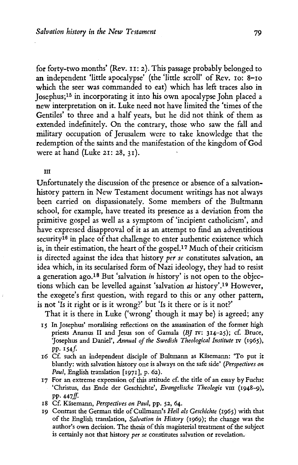for forty-two months' (Rev. II: 2). This passage probably belonged to an independent 'little apocalypse' (the 'little scroll' of Rev. 10: 8-10 which the seer was commanded to eat) which has left traces also in Josephus;15 in incorporating it into his own apocalypse John placed a new interpretation on it. Luke need not have limited the 'times of the Gentiles' to three and a half years, but he did not think of them as extended indefinitely. On the contrary, those who saw the fall and military occupation of Jerusalem were to take knowledge that the redemption of the saints and the manifestation of the kingdom of God were at hand (Luke 21: 28, 31).

### m

Unfortunately the discussion of the presence or absence of a salvationhistory pattern in New Testament document writings has not always been carried on dispassionately. Some members of the Bultmann school, for example, have treated its presence as a deviation from the primitive gospel as well as a symptom of 'incipient catholicism', and have expressed disapproval of it as an attempt to find an adventitious security<sup>16</sup> in place of that challenge to enter authentic existence which is, in their estimation, the heart of the gospel.<sup>17</sup> Much of their criticism is directed against the idea that history *per se* constitutes salvation, **an**  idea which, in its secularised form of Nazi ideology, they had to resist **a** generation ago. 18 But 'salvation *in* history' is not open to the objections which can be levelled against 'salvation *as* history'.19 However, the exegete's first question, with regard to this or any other pattern, is not 'Is it right or is it wrong?' but 'Is it there or is it not?'

That it is there in Luke ('wrong' though it may be) is agreed; any

- 15 In Josephus' moralising reflections on the assassination of the former high priests Ananus II and Jesus son of Gamala *(BJ IV: 314-25)*; cf. Bruce, 'Josephus and Daniel', *Annual of the Swedish Theological Institute* IV (1965), pp. 154f
- 16 Cf. such an independent disciple of Bultmann as Käsemann: 'To put it bluntly: with salvation history one is always on the safe side' *(Perspectives on Paul,* English translation [1971], p. 62).
- 17 For an extreme expression of this attitude cf. the title of an essay by Fuchs: 'Christus, das Ende der Geschichte', *Evangelische Theologie* vm (1948-9), pp.  $447ff$ .
- **18** Cf. Kasemann, *Perspectives on Paul,* pp. *52,* 64.
- 19 Contrast the German title ofCullmann's *Heil als Geschichte* (1965) with that of the English translation, *Salvation in History* (1969); the change was the author's own decision. The thesis of this magisterial treatment of the subject is certainly ,not that history *per se* constitutes salvation or revelation.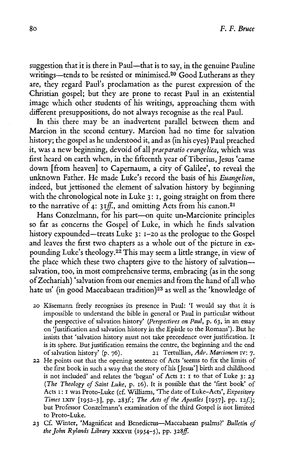suggestion that it is there in Paul—that is to say, in the genuine Pauline writings-tends to be resisted or minimised.<sup>20</sup> Good Lutherans as they are, they regard Paul's proclamation as the purest expression of the Christian gospel; but they are prone to recast Paul in an existential image which other students of his writings, approaching them with different presuppositions, do not always recognise as the real Paul.

In this there may be an inadvertent parallel between them and Marcion in the second century. Marcion had no time for salvation history; the gospel as he understood it, and as (in his eyes) Paul preached it, was a new beginning, devoid of all *praeparatio evangelica,* which was first heard on earth when, in the fifteenth year of Tiberius, Jesus 'came down [from heaven] to Capemaum, a city of Galilee', to reveal the unknown Father. He made Luke's record the basis of his *Euangelion,*  indeed, but iettisoned the element of salvation history by beginning with the chronological note in Luke 3: 1, going straight on from there to the narrative of 4:  $31\text{ ff}$ , and omitting Acts from his canon.<sup>21</sup>

Hans Conzelmann, for his part-on quite un-Marcionite principles so far as concerns the Gospel of Luke, in which he finds salvation history expounded-treats Luke 3: 1-20 as the prologue to the Gospel and leaves the first two chapters as a whole out of the picture in expounding Luke's theology. 22 This may seem a little strange, in view of the place which these two chapters give to the history of salvationsalvation, too, in most comprehensive terms, embracing (as in the song ofZechariah) 'salvation from our enemies and from the hand of all who hate us' (in good Maccabaean tradition)<sup>23</sup> as well as the 'knowledge of

- 20 Kasemann freely recognises its presence in Paul: 'I would say that it is impossible to understand the bible in general or Paul in particular without the perspective of salvation history' *(Perspectives on Paul,* p. 63, in an essay on 'Justification and salvation history in the Epistle to the Romans'). But he insists that 'salvation history must not take precedence over justification. It is its sphere. But justification remains the centre, the beginning and the end of salvation history' (p. 76). 21 Tertullian, *Adv. Marcionem* rv: 7.
- 22 He points out that the opening sentence of Acts 'seems to fix the limits of the first book in such a way that the story of his (Jesus'] birth and childhood is not included' and relates the 'began' of Acts  $r: r$  to that of Luke  $3: 23$ *(The Theology of Saint Luke,* p. 16). It is possible that the 'first book' of Acts 1: I was Proto-Luke (cf. Williams, 'The date of Luke-Acts', *Expository Times* LXIV [1952-3], pp. 283{.; *The Acts of the Apostles* [1957], pp. *12f);*  but Professor Conzelmann's examination of the third Gospel is not limited to Proto-Luke.
- 23 Cf. Winter, 'Magnificat and Benedictus-Maccabaean psalms?' *Bulletin of*  the John Rylands Library XXXVII (1954-5), pp. 328ff.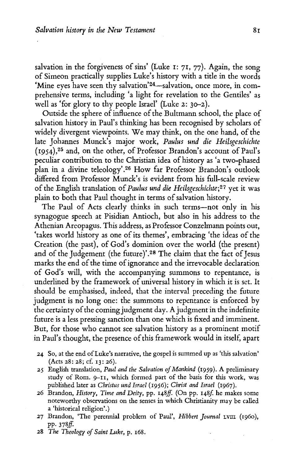salvation in the forgiveness of sins' (Luke 1: 71, 77). Again, the song of Simeon practically supplies Luke's history with a title in the words 'Mine eyes have seen thy salvation'<sup>24</sup>-salvation, once more, in comprehensive terms, including 'a light for revelation to the Gentiles' as well as 'for glory to thy people Israel' (Luke 2: 30-2).

Outside the sphere of influence of the Bultmann school, the place of salvation history in Paul's thinking has been recognised by scholars of widely divergent viewpoints. We may think, on the one hand, of the late Johannes Munck's major work, *Paulus und die Heilsgeschichte*  (1954),25 and, on the other, of Professor Brandon's account of Paul's peculiar contribution to the Christian idea of history as 'a two-phased plan in a divine teleology'. 26 How far Professor Brandon's outlook differed from Professor Munck's is evident from his full-scale review of the English translation of *Paulus und die Heilsgeschichte;27* yet it was plain to both that Paul thought in terms of salvation history.

The Paul of Acts clearly thinks in such terms-not only in his synagogue speech at Pisidian Antioch, but also in his address to the Athenian Areopagus. This address, as Professor Conzelmann points out, 'takes world history as one of its themes', embracing 'the ideas of the Creation (the past), of God's dominion over the world (the present) and of the Judgement (the future)' . 28 The claim that the fact of Jesus marks the end of the time of ignorance and the irrevocable declaration of God's will, with the accompanying summons to repentance, is underlined by the framework of universal history in which it is set. It should be emphasised, indeed, that the interval preceding the future judgment is no long one: the summons to repentance is enforced by the certainty of the coming judgment day. A judgment in the indefinite future is a less pressing sanction than one which is fixed and imminent. But, for those who cannot see salvation history as a prominent motif in Paul's thought, the presence of this framework would in itself, apart

- 24 So, at the end of Luke's narrative, the gospel is summed up as 'this salvation' (Acts 28: 28; cf. 13: 26).
- *25* English translation, *Paul and the Salvation of Mankind* (1959 ). A preliminary study of Rom. 9-11, which formed part of the basis for this work, was published later as *Christus und Israel* (1956); *Christ and Israel* (1967).
- 26 Brandon, *History*, *Time and Deity*, pp. 148ff. (On pp. 148f. he makes some noteworthy observations on the senses in which Christianity may be called a 'historical religion'.)
- 27 Brandon, 'The perennial problem of Paul', *Hibbert Journal* LVIII (1960), pp. 378ff.
- 28 *The Theology of Saint Luke,* p. 168.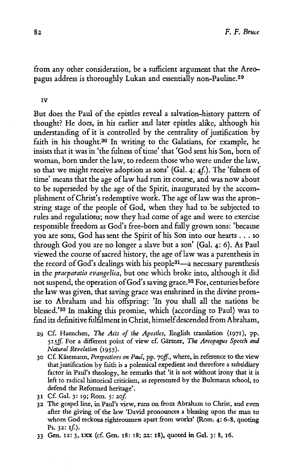from any other consideration, be a sufficient argument that the Areopagus address is thoroughly Lukan and essentially non-Pauline.29

**IV** 

But does the Paul of the epistles reveal a salvation-history pattern of thought? He does, in his earlier and later epistles alike, although his understanding of it is controlled by the centrality of justification by faith in his thought.30 In writing to the Galatians, for example, he insists that it was in 'the fulness of time' that 'God sent his Son, born of woman, born under the law, to redeem those who were under the law, so that we might receive adoption as sons' (Gal. 4: 4f). The 'fulness of time' means that the age of law had run its course, and was now about to be superseded by the age of the Spirit, inaugurated by the accomplishment of Christ's redemptive work. The age of law was the apronstring stage of the people of God, when they had to be subjected to rules and regulations; now they had come of age and were to exercise responsible freedom as God's free-born and fully grown sons: 'because you are sons, God has sent the Spirit of his Son into our hearts ... so through God you are no longer a slave but a son' (Gal. 4: 6). As Paul viewed the course of sacred history, the age of law was a parenthesis in the record of God's dealings with his people $31$ —a necessary parenthesis in the *praeparatio evangelica,* but one which broke into, although it did not suspend, the operation of God's saving grace.32 For, centuries before the law was given, that saving grace was enshrined in the divine promise to Abraham and his offspring: 'In you shall all the nations be blessed.'33 In making this promise, which (according to Paul) was to find its definitive fulfilment in Christ, himself descended from Abraham,

- 29 Cf. Haenchen, *The Acts of the Apostles,* English translation (1971), pp. 515.ff. For a different point of view cf. Gartner, *The Areopagus Speech and Natural Revelation* (1955).
- 30 Cf. Käsemann, *Perspectives on Paul*, pp. 70ff., where, in reference to the view that justification by faith is a polemical expedient and therefore a subsidiary factor in Paul's theology, he remarks that 'it is not without irony that it is left to radical historical criticism, as represented by the Bultmann school, to defend the Reformed heritage'.
- 31 C£ Gal. 3: 19; Rom. *5: 2of*
- 32 The gospel line, in Paul's view, runs on from Abraham to Christ, and even after the giving of the law 'David pronowices a blessing upon the man to whom God reckons righteousness apart from works' (Rom. 4: 6-8, quoting Ps.  $32:$  If.).

<sup>33</sup> Gen. 12: 3, LXX (cf. Gen. 18: 18; 22: 18), quoted in Gal. 3: 8, 16.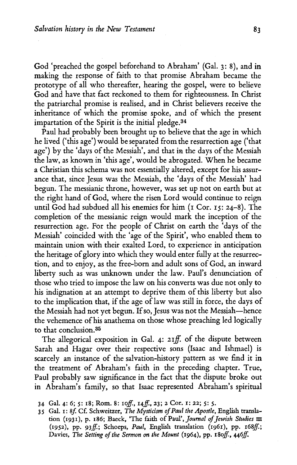God 'preached the gospel beforehand to Abraham' (Gal. 3: 8), and **in**  making the response of faith to that promise Abraham became the prototype of all who thereafter, hearing the gospel, were to believe God and have that fact reckoned to them for righteousness. In Christ the patriarchal promise is realised, and in Christ believers receive the inheritance of which the promise spoke, and of which the present impartation of the Spirit is the initial pledge.3<sup>4</sup>

Paul had probably been brought up to believe that the age in which he lived ('this age') would be separated from the resurrection age ('that age') by the 'days of the Messiah', and that in the days of the Messiah the law, as known in 'this age', would be abrogated. When he became a Christian this schema was not essentially altered, except for his assurance that, since Jesus was the Messiah, the 'days of the Messiah' had begun. The messianic throne, however, was set up not on earth but at the right hand of God, where the risen Lord would continue to reign until God had subdued all his enemies for him (1 Cor. 15: 24-8). The completion of the messianic reign would mark the inception of the resurrection age. For the people of Christ on earth the 'days of the Messiah' coincided with the 'age of the Spirit', who enabled them to maintain union with their exalted Lord, to experience in anticipation the heritage of glory into which they would enter fully at the resurrection, and to enjoy, as the free-born and adult sons of God, an inward liberty such as was unknown under the law. Paul's denunciation of those who tried to impose the law on his converts was due not only to his indignation at an attempt to deprive them of this liberty but also to the implication that, if the age of law was still in force, the days of the Messiah had not yet begun. If so, Jesus was not the Messiah-hence the vehemence of his anathema on those whose preaching led logically to that conclusion.<sup>35</sup>

The allegorical exposition in Gal. 4:  $2 \text{ if } f$ . of the dispute between Sarah and Hagar over their respective sons (Isaac and Ishmael) is scarcely an instance of the salvation-history pattern as we find it in the treatment of Abraham's faith in the preceding chapter. True, Paul probably saw significance in the fact that the dispute broke out in Abraham's family, so that Isaac represented Abraham's spiritual

<sup>34</sup> Gal. 4: 6; 5: 18; Rom. 8: 10ff., 14ff., 23; 2 Cor. 1: 22; 5: 5.

<sup>35</sup> Gal. 1: *Bf* Cf. Schweitzer, *The Mysticism of Paul the Apostle,* English translation (1931), p. 186; Baeck, 'The faith of Paul', *Journal of Jewish Studies* m (1952), pp. *93.ff.;* Schoeps, *Paul,* English translation (1961), pp. 168.ff.; Davies, *The Setting of the Sermon on the Mount* (1964), pp. 180ff., 446ff.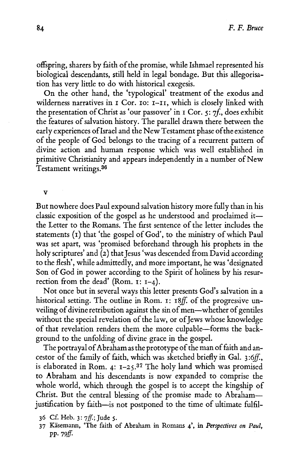offspring, sharers by faith of the promise, while Ishmael represented his biological descendants, still held in legal bondage. But this allegorisation has very little to do with historical exegesis.

On the other hand, the 'typological' treatment of the exodus and wilderness narratives in I Cor. 10: I-II, which is closely linked with the presentation of Christ as 'our passover' in I Cor. 5: *7f,* does exhibit the features of salvation history. The parallel drawn there between the early experiences of Israel and the New Testament phase of the existence of the people of God belongs to the tracing of a recurrent pattern of divine action and human response which was well established in primitive Christianity and appears independently in a number of New Testament writings.<sup>36</sup>

But nowhere does Paul expound salvation history more fully than in his classic exposition of the gospel as he understood and proclaimed itthe Letter to the Romans. The first sentence of the letter includes the statements  $(1)$  that 'the gospel of God', to the ministry of which Paul was set apart, was 'promised beforehand through his prophets in the holy scriptures' and (2) that Jesus 'was descended from David according to the flesh', while admittedly, and more important, he was 'designated Son of God in power according to the Spirit of holiness by his resurrection from the dead' (Rom. 1: 1-4).

Not once but in several ways this letter presents God's salvation in a historical setting. The outline in Rom. 1: 18ff. of the progressive unveiling of divine retribution against the sin of men-whether of gentiles without the special revelation of the law, or of Jews whose knowledge of that revelation renders them the more culpable-forms the background to the unfolding of divine grace in the gospel.

The portrayal of Abraham as the prototype of the man of faith and ancestor of the family of faith, which was sketched briefly in Gal.  $3:6ff$ . is elaborated in Rom. 4:  $t-25$ .<sup>37</sup> The holy land which was promised to Abraham and his descendants is now expanded to comprise the whole world, which through the gospel is to accept the kingship of Christ. But the central blessing of the promise made to Abrahamjustification by faith-is not postponed to the time of ultimate fulfil-

V

<sup>36</sup> Cf. Heh. 3: *7.ff.;* Jude *5.* 

<sup>37</sup> Kasemann, 'The faith of Abraham in Romans 4', in *Perspectives on Paul,*  pp. *79.ff.*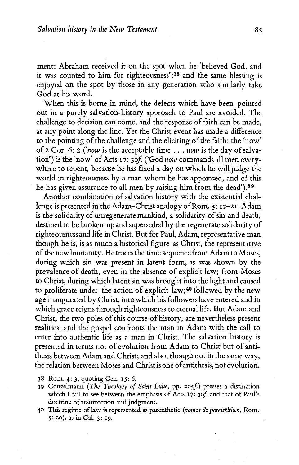ment: Abraham received it on the spot when he 'believed God, and it was counted to him for righteousness';38 and the same blessing is enjoyed on the spot by those in any generation who similarly take God at his word.

When this is borne in mind, the defects which have been pointed out in a purely salvation-history approach to Paul are avoided. The challenge to decision can come, and the response of faith can be made, at any point along the line. Yet the Christ event has made a difference to the pointing of the challenge and the eliciting of the faith: the 'now' of 2 Cor. 6: 2 *('now* is the acceptable time ... *now* is the day of salvation') is the 'now' of Acts 17: *3of* ('God *now* commands all men everywhere to repent, because he has fixed a day on which he will judge the world in righteousness by a man whom he has appointed, and of this he has given assurance to all men by raising him from the dead').39

Another combination of salvation history with the existential challenge is presented in the Adam-Christ analogy of Rom. 5: 12-21. Adam is the solidarity of unregenerate mankind, a solidarity of sin and death, destined to be broken up and superseded by the regenerate solidarity of righteousness and life in Christ. But for Paul, Adam, representative man though he is, is as much a historical figure as Christ, the representative of the new humanity. He traces the time sequence from Adam to Moses, during which sin was present in latent form, as was shown by the prevalence of death, even in the absence of explicit law; from Moses to Christ, during which latent sin was brought into the light and caused to proliferate under the action of explicit law;40 followed by the new age inaugurated by Christ, into which his followers have entered and in which grace reigns through righteousness to eternal life. But Adam and Christ, the two poles of this course of history, are nevertheless present realities, and the gospel confronts the man in Adam with the call to enter into authentic life as a man in Christ. The salvation history is presented in terms not of evolution from Adam to Christ but of antithesis between Adam and Christ; and also, though not in the same way, the relation between Moses and Christ is one of antithesis, not evolution.

- 38 Rom. 4: 3, quoting Gen. 15: 6.
- 39 Conzelmann *(The Theology of Saint Luke,* pp. *205!)* presses a distinction which I fail to see between the emphasis of Acts 17: 30f. and that of Paul's doctrine of resurrection and judgment.
- **40** This regime oflaw is represented as parenthetic *(nomos de pareiselthen,* Rom. 5: 20), as in Gal. 3: 19.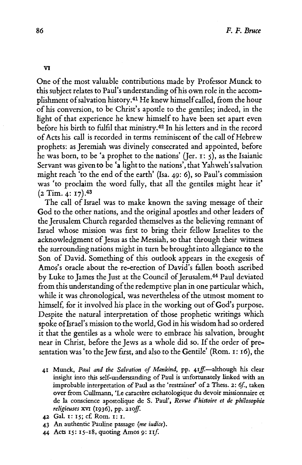One of the most valuable contributions made by Professor Munck to this subject relates to Paul's understanding of his own role in the accomplishment of salvation history.41 He knew himself called, from the hour of his conversion, to be Christ's apostle to the gentiles; indeed, in the light of that experience he knew himself to have been set apart even before his birth to fulfil that ministry.42 In his letters and in the record of Acts his call is recorded in terms reminiscent of the call of Hebrew prophets: as Jeremiah was divinely consecrated and appointed, before he was born, to be 'a prophet to the nations' (Jer. 1: 5), as the Isaianic Servant was given to be 'a light to the nations', that Yahweh'ssalvation might reach 'to the end of the earth' (Isa. 49: 6), so Paul's commission was 'to proclaim the word fully, that all the gentiles might hear it'  $(2$  Tim. 4: 17).<sup>43</sup>

The call of Israel was to make known the saving message of their God to the other nations, and the original apostles and other leaders of the Jerusalem Church regarded themselves as the believing remnant of Israel whose mission was first to bring their fellow Israelites to the acknowledgment of Jesus as the Messiah, so that through their witness the surrounding nations might in turn be brought into allegiance to the Son of David. Something of this outlook appears in the exegesis of Amos's oracle about the re-erection of David's fallen booth ascribed by Luke to James the Just at the Council of Jerusalem.44 Paul deviated from this understanding of the redemptive plan in one particular which, while it was chronological, was nevertheless of the utmost moment to himself, for it involved his place in the working out of God's purpose. Despite the natural interpretation of those prophetic writings which spoke of Israel's mission to the world, God in his wisdom had so ordered it that the gentiles as a whole were to embrace his salvation, brought near in Christ, before the Jews as a whole did so. If the order of presentation was 'to the Jew first, and also to the Gentile' (Rom. I: 16), the

- 41 Munck, *Paul and the Salvation of Mankind,* pp. 4rff.-although his clear insight into this self-understanding of Paul is unfortunately linked with an improbable interpretation of Paul as the 'restrainer' of 2 Thess. 2: *6f,* taken over from Cullmann, 'Le caractère eschatologique du devoir missionnaire et de la conscience apostolique de S. Paul', *Revue d'histoire* **et** *de philosophie religieuses* XVI (1936), pp. 210ff.
- 42 Gal. 1: 15; c£ Rom. 1: I.
- 43 An authentic Pauline passage *(me iudice).*
- 44 Acts 15: 15-18, quoting Amos 9: 11J.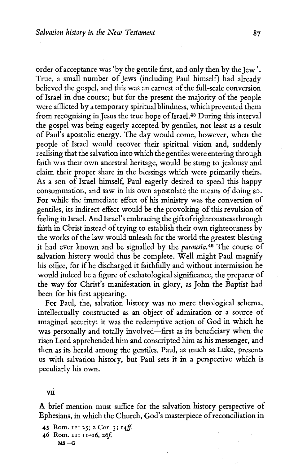order of acceptance was 'by the gentile first, and only then by the Jew'. True, a small number of Jews (including Paul himself) had already believed the gospel, and this was an earnest of the full-scale conversion of Israel in due course; but for the present the majority of the people were afflicted by a temporary spiritual blindness, which prevented them from recognising in Jesus the true hope of Israel.<sup>45</sup> During this interval the gospel was being eagerly accepted by gentiles, not least as a result of Paul's apostolic energy. The day would come, however, when the people of Israel would recover their spiritual vision and, suddenly realising that the salvation into which the gentiles were entering through faith was their own ancestral heritage, would be stung to jealousy and claim their proper share in the blessings which were primarily theirs. As a son of Israel himself, Paul eagerly desired to speed this happy consummation, and saw in his own apostolate the means of doing so. For while the immediate effect of his ministry was the conversion of gentiles, its indirect effect would be the provoking of this revulsion of feeling in Israel. And Israel's embracing the gift ofrighteousness through faith in Christ instead of trying to establish their own righteousness by the works of the law would unleash for the world the greatest blessing it had ever known and be signalled by the *parousia.46* The course of salvation history would thus be complete. Well might Paul magnify his office, for if he discharged it faithfully and without intermission he would indeed be a figure of eschatological significance, the preparer of the way for Christ's manifestation in glory, as John the Baptist had been for his first appearing.

For Paul, the, salvation history was no mere theological schema, intellectually constructed as an object of admiration or a source of imagined security: it was the redemptive action of God in which he was personally and totally involved-first as its beneficiary when the risen Lord apprehended him and conscripted him as his messenger, and then as its herald among the gentiles. Paul, as much as Luke, presents us with salvation history, but Paul sets it in a perspective which is peculiarly his own.

vn

**A** brief mention must suffice for the salvation history perspective of Ephesians, in which the Church, God's masterpiece of reconciliation in

- *45* Rom. II: 25; 2 Cor. 3: 14.ff.
- **46** Rom. II: II~16, *26f.*   $MS - G$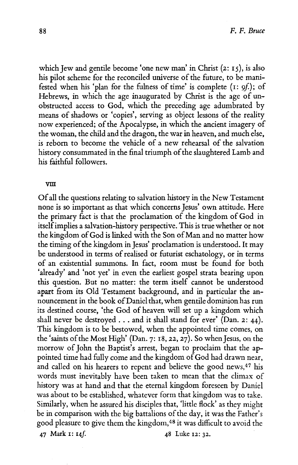which Jew and gentile become 'one new man' in Christ  $(2: 15)$ , is also his pilot scheme for the reconciled universe of the future, to be manifested when his 'plan for the fulness of time' is complete (r: *9!);* of Hebrews, in which the age inaugurated by Christ is the age of unobstructed access to God, which the preceding age adumbrated by means of shadows or 'copies', serving as object lessons of the reality now experienced; of the Apocalypse, in which the ancient imagery of the woman, the child and the dragon, the war in heaven, and much else, is reborn to become the vehicle of a new rehearsal of the salvation history consummated in the final triumph of the slaughtered Lamb and his faithful followers.

#### vm

Of all the questions relating to salvation history in the New Testament none is so important as that which concerns Jesus' own attitude. Here the primary fact is that the proclamation of the kingdom of God in itself implies a salvation-history perspective. This is true whether or not the kingdom of God is linked with the Son of Man and no matter how the timing of the kingdom in Jesus' proclamation is understood. It may be understood in terms of realised or futurist eschatology, or in terms of an existential summons. In fact, room must be found for both 'already' and 'not yet' in even the earliest gospel strata bearing upon this question. But no matter: the term itself cannot be understood apart from its Old Testament background, and in particular the announcement in the book of Daniel that, when gentile dominion has run its destined course, 'the God of heaven will set up a kingdom which shall never be destroyed ... and it shall stand for ever' (Dan. 2: 44). This kingdom is to be bestowed, when the appointed time comes, on the 'saints of the Most High' (Dan. 7: r8, 22, 27). So when Jesus, on the morrow of John the Baptist's arrest, began to proclaim that the appointed time had fully come and the kingdom of God had drawn near, and called on his hearers to repent and believe the good news,<sup>47</sup> his words must inevitably have been taken to mean that the climax of history was at hand and that the eternal kingdom foreseen by Daniel was about to be established, whatever form that kingdom was to take. Similarly, when he assured his disciples that, 'little flock' as they might be in comparison with the big battalions of the day, it was the Father's good pleasure to give them the kingdom,48 it was difficult to avoid the 47 Mark 1: 14f. 48 Luke 12: 32.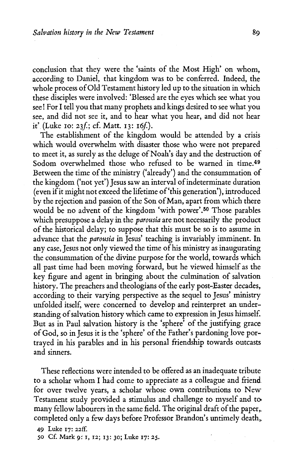conclusion that they were the 'saints of the Most High' on whom, according to Daniel, that kingdom was to be conferred. Indeed, the whole process of Old Testament history led up to the situation in which these disciples were involved: 'Blessed are the eyes which see what you see! For I tell you that many prophets and kings desired to see what you see, and did not see it, and to hear what you hear, and did not hear it' (Luke 10: 23f.; cf. Matt. 13: 16f.).

The establishment of the kingdom would be attended by a crisis which would overwhelm with disaster those who were not prepared to meet it, as surely as the deluge of Noah's day and the destruction of Sodom overwhelmed those who refused to be warned in time.<sup>49</sup> Between the time of the ministry ('already') and the consummation of the kingdom ('not yet') Jesus saw an interval of indeterminate duration (even if it might not exceed the lifetime of 'this generation'), introduced by the rejection and passion of the Son of Man, apart from which there would be no advent of the kingdom 'with power'. 50 Those parables which presuppose a delay in the *parousia* are not necessarily the product of the historical delay; to suppose that this must be so is to assume in advance that the *parousia* in Jesus' teaching is invariably imminent. In any case, Jesus not only viewed the time of his ministry as inaugurating the consummation of the divine purpose for the world, towards which all past time had been moving forward, but he viewed himself as the key figure and agent in bringing about the culmination of salvation history. The preachers and theologians of the early post-Easter decades, according to their varying perspective as the sequel to Jesus' ministry unfolded itself, were concerned to develop and reinterpret an understanding of salvation history which came to expression in Jesus himself. But as in Paul salvation history is the 'sphere' of the justifying grace of God, so in Jesus it is the 'sphere' of the Father's pardoning love portrayed in his parables and in his personal friendship towards outcasts and sinners.

These reflections were intended to be offered as an inadequate tribute to a scholar whom I had come to appreciate as a colleague and friend for over twelve years, a scholar whose own contributions to New Testament study provided a stimulus and challenge to myself and to, many fellow labourers in the same field. The original draft of the paper,. completed only a few days before Professor Brandon's untimely death.

<sup>49</sup> Luke 17: 22ff.

*<sup>50</sup>* Cf. Mark 9:' 1, 12; 13: 30; Luke 17: 25.